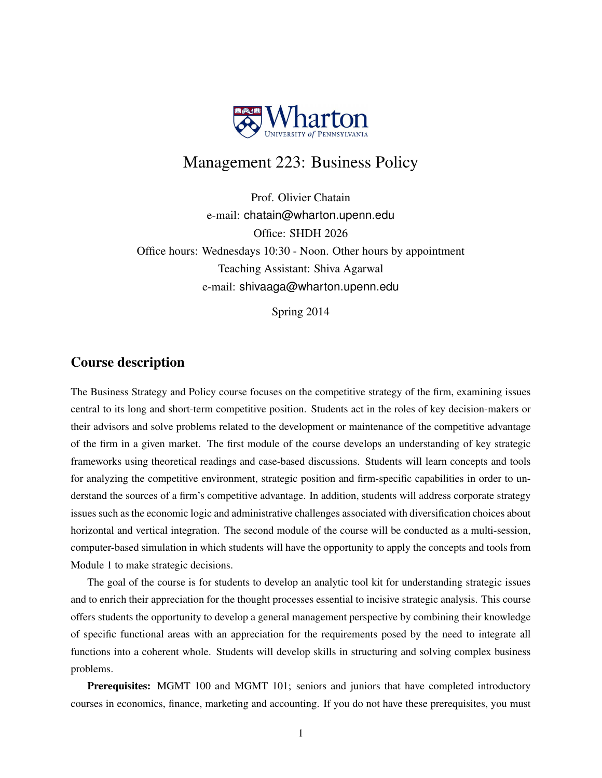

# Management 223: Business Policy

Prof. Olivier Chatain e-mail: chatain@wharton.upenn.edu Office: SHDH 2026 Office hours: Wednesdays 10:30 - Noon. Other hours by appointment Teaching Assistant: Shiva Agarwal e-mail: shivaaga@wharton.upenn.edu

Spring 2014

# Course description

The Business Strategy and Policy course focuses on the competitive strategy of the firm, examining issues central to its long and short-term competitive position. Students act in the roles of key decision-makers or their advisors and solve problems related to the development or maintenance of the competitive advantage of the firm in a given market. The first module of the course develops an understanding of key strategic frameworks using theoretical readings and case-based discussions. Students will learn concepts and tools for analyzing the competitive environment, strategic position and firm-specific capabilities in order to understand the sources of a firm's competitive advantage. In addition, students will address corporate strategy issues such as the economic logic and administrative challenges associated with diversification choices about horizontal and vertical integration. The second module of the course will be conducted as a multi-session, computer-based simulation in which students will have the opportunity to apply the concepts and tools from Module 1 to make strategic decisions.

The goal of the course is for students to develop an analytic tool kit for understanding strategic issues and to enrich their appreciation for the thought processes essential to incisive strategic analysis. This course offers students the opportunity to develop a general management perspective by combining their knowledge of specific functional areas with an appreciation for the requirements posed by the need to integrate all functions into a coherent whole. Students will develop skills in structuring and solving complex business problems.

Prerequisites: MGMT 100 and MGMT 101; seniors and juniors that have completed introductory courses in economics, finance, marketing and accounting. If you do not have these prerequisites, you must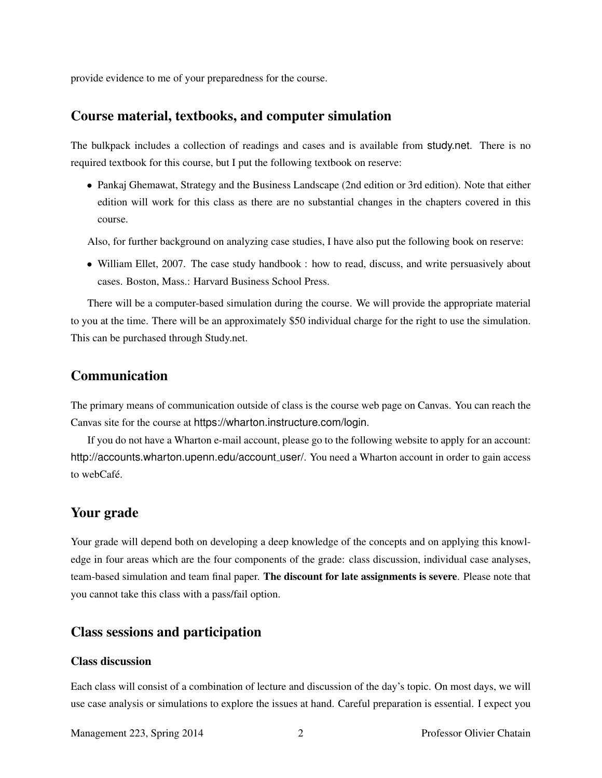provide evidence to me of your preparedness for the course.

### Course material, textbooks, and computer simulation

The bulkpack includes a collection of readings and cases and is available from study.net. There is no required textbook for this course, but I put the following textbook on reserve:

• Pankaj Ghemawat, Strategy and the Business Landscape (2nd edition or 3rd edition). Note that either edition will work for this class as there are no substantial changes in the chapters covered in this course.

Also, for further background on analyzing case studies, I have also put the following book on reserve:

• William Ellet, 2007. The case study handbook : how to read, discuss, and write persuasively about cases. Boston, Mass.: Harvard Business School Press.

There will be a computer-based simulation during the course. We will provide the appropriate material to you at the time. There will be an approximately \$50 individual charge for the right to use the simulation. This can be purchased through Study.net.

# Communication

The primary means of communication outside of class is the course web page on Canvas. You can reach the Canvas site for the course at https://wharton.instructure.com/login.

If you do not have a Wharton e-mail account, please go to the following website to apply for an account: http://accounts.wharton.upenn.edu/account\_user/. You need a Wharton account in order to gain access to webCafé.

# Your grade

Your grade will depend both on developing a deep knowledge of the concepts and on applying this knowledge in four areas which are the four components of the grade: class discussion, individual case analyses, team-based simulation and team final paper. The discount for late assignments is severe. Please note that you cannot take this class with a pass/fail option.

# Class sessions and participation

#### Class discussion

Each class will consist of a combination of lecture and discussion of the day's topic. On most days, we will use case analysis or simulations to explore the issues at hand. Careful preparation is essential. I expect you

Management 223, Spring 2014 2 2 Professor Olivier Chatain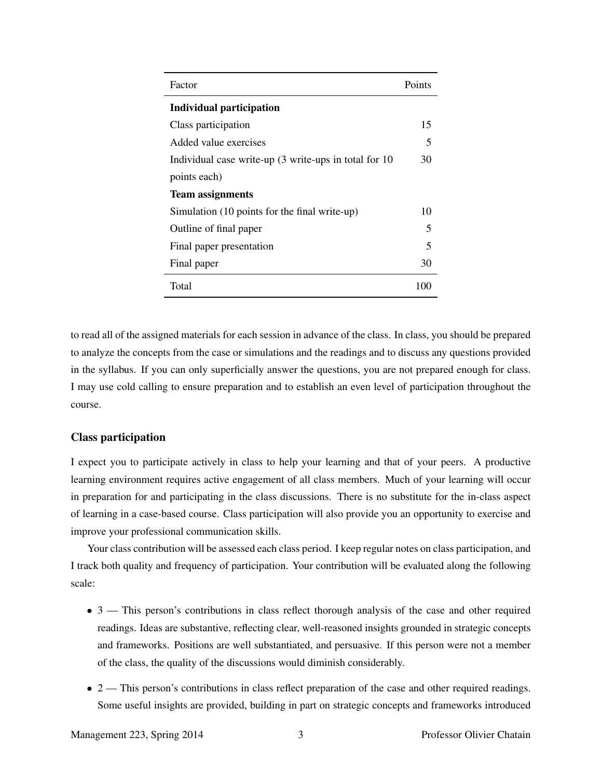| Factor                                                | Points        |
|-------------------------------------------------------|---------------|
| Individual participation                              |               |
| Class participation                                   | 15            |
| Added value exercises                                 | 5             |
| Individual case write-up (3 write-ups in total for 10 | 30            |
| points each)                                          |               |
| <b>Team assignments</b>                               |               |
| Simulation (10 points for the final write-up)         | 10            |
| Outline of final paper                                | 5             |
| Final paper presentation                              | $\mathcal{F}$ |
| Final paper                                           | 30            |
| Total                                                 | 100           |

to read all of the assigned materials for each session in advance of the class. In class, you should be prepared to analyze the concepts from the case or simulations and the readings and to discuss any questions provided in the syllabus. If you can only superficially answer the questions, you are not prepared enough for class. I may use cold calling to ensure preparation and to establish an even level of participation throughout the course.

# Class participation

I expect you to participate actively in class to help your learning and that of your peers. A productive learning environment requires active engagement of all class members. Much of your learning will occur in preparation for and participating in the class discussions. There is no substitute for the in-class aspect of learning in a case-based course. Class participation will also provide you an opportunity to exercise and improve your professional communication skills.

Your class contribution will be assessed each class period. I keep regular notes on class participation, and I track both quality and frequency of participation. Your contribution will be evaluated along the following scale:

- 3 This person's contributions in class reflect thorough analysis of the case and other required readings. Ideas are substantive, reflecting clear, well-reasoned insights grounded in strategic concepts and frameworks. Positions are well substantiated, and persuasive. If this person were not a member of the class, the quality of the discussions would diminish considerably.
- 2 This person's contributions in class reflect preparation of the case and other required readings. Some useful insights are provided, building in part on strategic concepts and frameworks introduced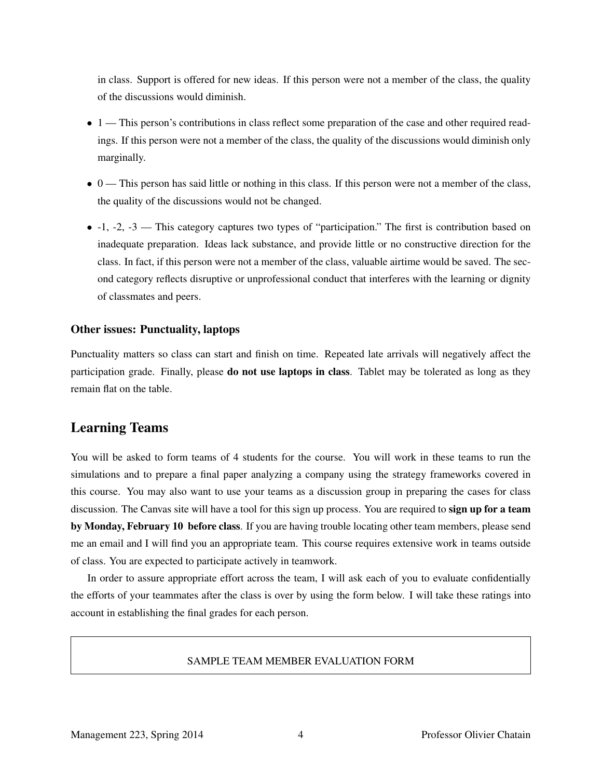in class. Support is offered for new ideas. If this person were not a member of the class, the quality of the discussions would diminish.

- 1 This person's contributions in class reflect some preparation of the case and other required readings. If this person were not a member of the class, the quality of the discussions would diminish only marginally.
- 0 This person has said little or nothing in this class. If this person were not a member of the class, the quality of the discussions would not be changed.
- -1, -2, -3 This category captures two types of "participation." The first is contribution based on inadequate preparation. Ideas lack substance, and provide little or no constructive direction for the class. In fact, if this person were not a member of the class, valuable airtime would be saved. The second category reflects disruptive or unprofessional conduct that interferes with the learning or dignity of classmates and peers.

#### Other issues: Punctuality, laptops

Punctuality matters so class can start and finish on time. Repeated late arrivals will negatively affect the participation grade. Finally, please **do not use laptops in class**. Tablet may be tolerated as long as they remain flat on the table.

# Learning Teams

You will be asked to form teams of 4 students for the course. You will work in these teams to run the simulations and to prepare a final paper analyzing a company using the strategy frameworks covered in this course. You may also want to use your teams as a discussion group in preparing the cases for class discussion. The Canvas site will have a tool for this sign up process. You are required to sign up for a team by Monday, February 10 before class. If you are having trouble locating other team members, please send me an email and I will find you an appropriate team. This course requires extensive work in teams outside of class. You are expected to participate actively in teamwork.

In order to assure appropriate effort across the team, I will ask each of you to evaluate confidentially the efforts of your teammates after the class is over by using the form below. I will take these ratings into account in establishing the final grades for each person.

#### SAMPLE TEAM MEMBER EVALUATION FORM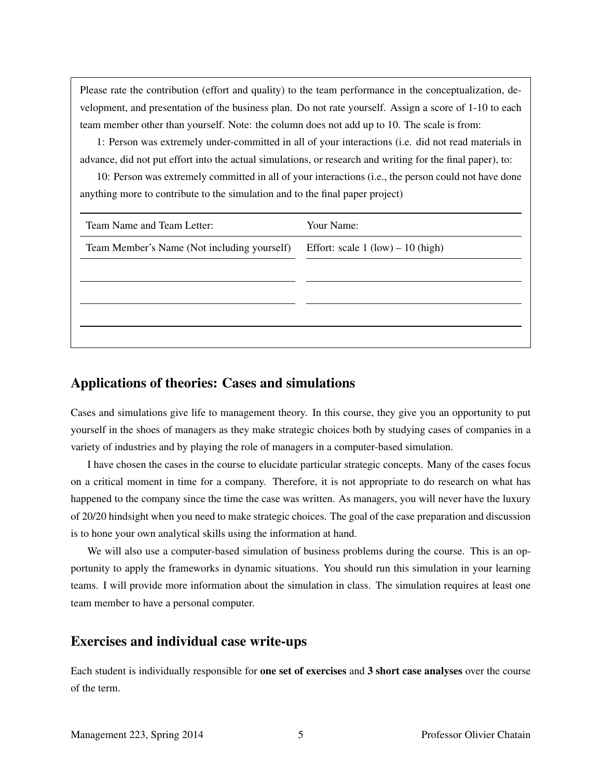Please rate the contribution (effort and quality) to the team performance in the conceptualization, development, and presentation of the business plan. Do not rate yourself. Assign a score of 1-10 to each team member other than yourself. Note: the column does not add up to 10. The scale is from:

1: Person was extremely under-committed in all of your interactions (i.e. did not read materials in advance, did not put effort into the actual simulations, or research and writing for the final paper), to:

10: Person was extremely committed in all of your interactions (i.e., the person could not have done anything more to contribute to the simulation and to the final paper project)

| Team Name and Team Letter:                  | Your Name:                          |
|---------------------------------------------|-------------------------------------|
| Team Member's Name (Not including yourself) | Effort: scale $1 (low) - 10 (high)$ |
|                                             |                                     |
|                                             |                                     |
|                                             |                                     |
|                                             |                                     |

# Applications of theories: Cases and simulations

Cases and simulations give life to management theory. In this course, they give you an opportunity to put yourself in the shoes of managers as they make strategic choices both by studying cases of companies in a variety of industries and by playing the role of managers in a computer-based simulation.

I have chosen the cases in the course to elucidate particular strategic concepts. Many of the cases focus on a critical moment in time for a company. Therefore, it is not appropriate to do research on what has happened to the company since the time the case was written. As managers, you will never have the luxury of 20/20 hindsight when you need to make strategic choices. The goal of the case preparation and discussion is to hone your own analytical skills using the information at hand.

We will also use a computer-based simulation of business problems during the course. This is an opportunity to apply the frameworks in dynamic situations. You should run this simulation in your learning teams. I will provide more information about the simulation in class. The simulation requires at least one team member to have a personal computer.

# Exercises and individual case write-ups

Each student is individually responsible for one set of exercises and 3 short case analyses over the course of the term.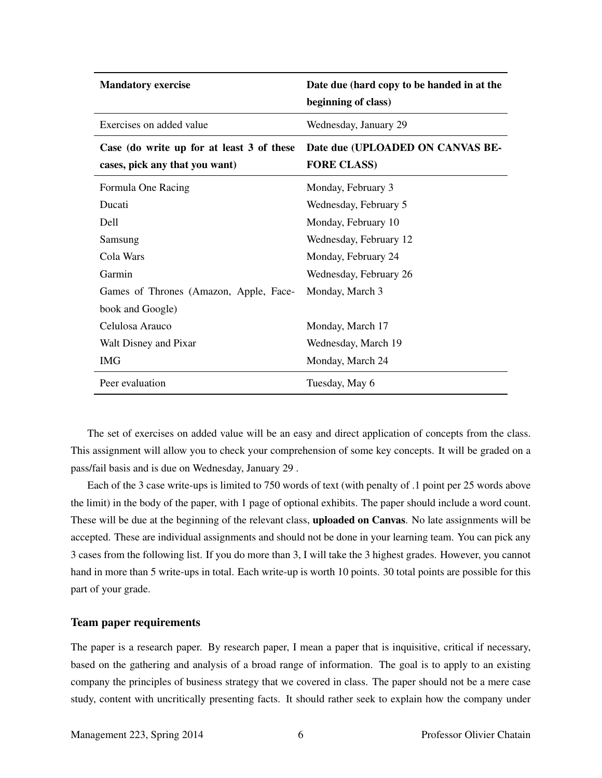| <b>Mandatory exercise</b>                 | Date due (hard copy to be handed in at the<br>beginning of class) |
|-------------------------------------------|-------------------------------------------------------------------|
| Exercises on added value                  | Wednesday, January 29                                             |
| Case (do write up for at least 3 of these | Date due (UPLOADED ON CANVAS BE-                                  |
| cases, pick any that you want)            | <b>FORE CLASS)</b>                                                |
| Formula One Racing                        | Monday, February 3                                                |
| Ducati                                    | Wednesday, February 5                                             |
| Dell                                      | Monday, February 10                                               |
| Samsung                                   | Wednesday, February 12                                            |
| Cola Wars                                 | Monday, February 24                                               |
| Garmin                                    | Wednesday, February 26                                            |
| Games of Thrones (Amazon, Apple, Face-    | Monday, March 3                                                   |
| book and Google)                          |                                                                   |
| Celulosa Arauco                           | Monday, March 17                                                  |
| Walt Disney and Pixar                     | Wednesday, March 19                                               |
| <b>IMG</b>                                | Monday, March 24                                                  |
| Peer evaluation                           | Tuesday, May 6                                                    |

The set of exercises on added value will be an easy and direct application of concepts from the class. This assignment will allow you to check your comprehension of some key concepts. It will be graded on a pass/fail basis and is due on Wednesday, January 29 .

Each of the 3 case write-ups is limited to 750 words of text (with penalty of .1 point per 25 words above the limit) in the body of the paper, with 1 page of optional exhibits. The paper should include a word count. These will be due at the beginning of the relevant class, **uploaded on Canvas**. No late assignments will be accepted. These are individual assignments and should not be done in your learning team. You can pick any 3 cases from the following list. If you do more than 3, I will take the 3 highest grades. However, you cannot hand in more than 5 write-ups in total. Each write-up is worth 10 points. 30 total points are possible for this part of your grade.

#### Team paper requirements

The paper is a research paper. By research paper, I mean a paper that is inquisitive, critical if necessary, based on the gathering and analysis of a broad range of information. The goal is to apply to an existing company the principles of business strategy that we covered in class. The paper should not be a mere case study, content with uncritically presenting facts. It should rather seek to explain how the company under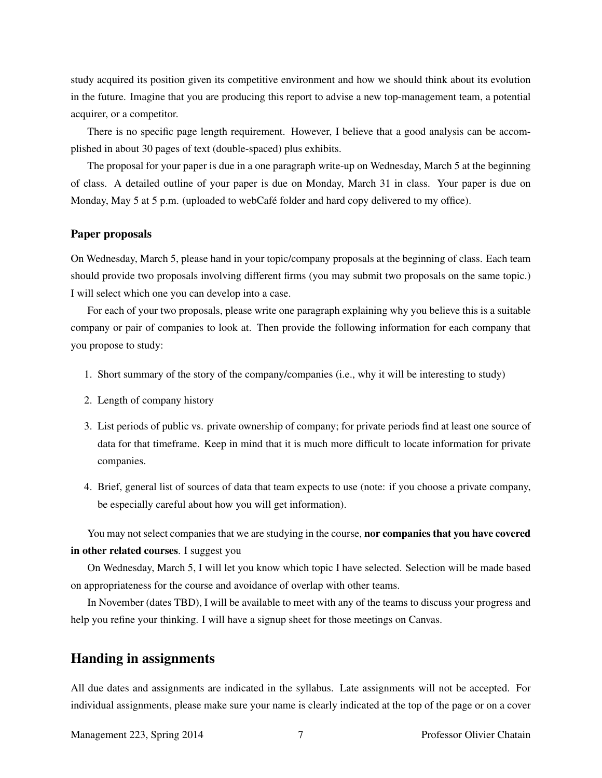study acquired its position given its competitive environment and how we should think about its evolution in the future. Imagine that you are producing this report to advise a new top-management team, a potential acquirer, or a competitor.

There is no specific page length requirement. However, I believe that a good analysis can be accomplished in about 30 pages of text (double-spaced) plus exhibits.

The proposal for your paper is due in a one paragraph write-up on Wednesday, March 5 at the beginning of class. A detailed outline of your paper is due on Monday, March 31 in class. Your paper is due on Monday, May 5 at 5 p.m. (uploaded to webCafé folder and hard copy delivered to my office).

#### Paper proposals

On Wednesday, March 5, please hand in your topic/company proposals at the beginning of class. Each team should provide two proposals involving different firms (you may submit two proposals on the same topic.) I will select which one you can develop into a case.

For each of your two proposals, please write one paragraph explaining why you believe this is a suitable company or pair of companies to look at. Then provide the following information for each company that you propose to study:

- 1. Short summary of the story of the company/companies (i.e., why it will be interesting to study)
- 2. Length of company history
- 3. List periods of public vs. private ownership of company; for private periods find at least one source of data for that timeframe. Keep in mind that it is much more difficult to locate information for private companies.
- 4. Brief, general list of sources of data that team expects to use (note: if you choose a private company, be especially careful about how you will get information).

You may not select companies that we are studying in the course, nor companies that you have covered in other related courses. I suggest you

On Wednesday, March 5, I will let you know which topic I have selected. Selection will be made based on appropriateness for the course and avoidance of overlap with other teams.

In November (dates TBD), I will be available to meet with any of the teams to discuss your progress and help you refine your thinking. I will have a signup sheet for those meetings on Canvas.

# Handing in assignments

All due dates and assignments are indicated in the syllabus. Late assignments will not be accepted. For individual assignments, please make sure your name is clearly indicated at the top of the page or on a cover

Management 223, Spring 2014 7 Professor Olivier Chatain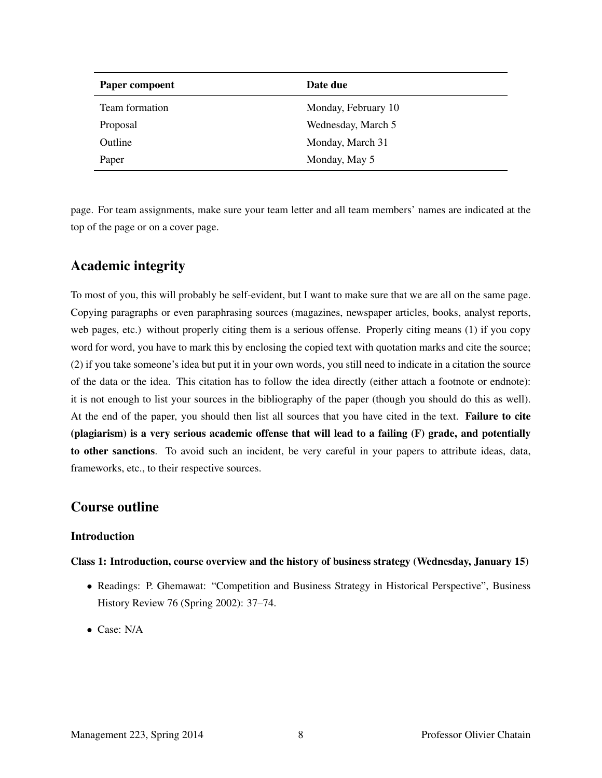| Paper compoent | Date due            |
|----------------|---------------------|
| Team formation | Monday, February 10 |
| Proposal       | Wednesday, March 5  |
| Outline        | Monday, March 31    |
| Paper          | Monday, May 5       |

page. For team assignments, make sure your team letter and all team members' names are indicated at the top of the page or on a cover page.

# Academic integrity

To most of you, this will probably be self-evident, but I want to make sure that we are all on the same page. Copying paragraphs or even paraphrasing sources (magazines, newspaper articles, books, analyst reports, web pages, etc.) without properly citing them is a serious offense. Properly citing means (1) if you copy word for word, you have to mark this by enclosing the copied text with quotation marks and cite the source; (2) if you take someone's idea but put it in your own words, you still need to indicate in a citation the source of the data or the idea. This citation has to follow the idea directly (either attach a footnote or endnote): it is not enough to list your sources in the bibliography of the paper (though you should do this as well). At the end of the paper, you should then list all sources that you have cited in the text. Failure to cite (plagiarism) is a very serious academic offense that will lead to a failing (F) grade, and potentially to other sanctions. To avoid such an incident, be very careful in your papers to attribute ideas, data, frameworks, etc., to their respective sources.

# Course outline

#### Introduction

### Class 1: Introduction, course overview and the history of business strategy (Wednesday, January 15)

- Readings: P. Ghemawat: "Competition and Business Strategy in Historical Perspective", Business History Review 76 (Spring 2002): 37–74.
- Case: N/A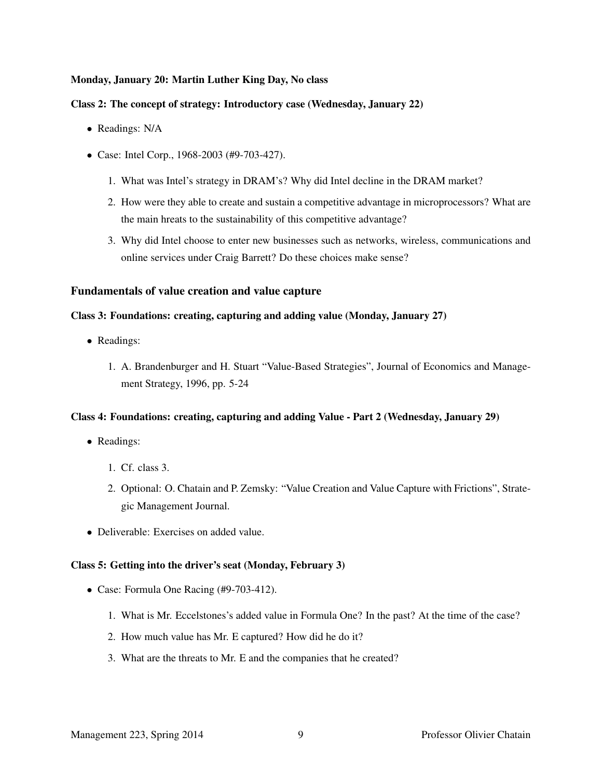#### Monday, January 20: Martin Luther King Day, No class

#### Class 2: The concept of strategy: Introductory case (Wednesday, January 22)

- Readings: N/A
- Case: Intel Corp., 1968-2003 (#9-703-427).
	- 1. What was Intel's strategy in DRAM's? Why did Intel decline in the DRAM market?
	- 2. How were they able to create and sustain a competitive advantage in microprocessors? What are the main hreats to the sustainability of this competitive advantage?
	- 3. Why did Intel choose to enter new businesses such as networks, wireless, communications and online services under Craig Barrett? Do these choices make sense?

#### Fundamentals of value creation and value capture

#### Class 3: Foundations: creating, capturing and adding value (Monday, January 27)

- Readings:
	- 1. A. Brandenburger and H. Stuart "Value-Based Strategies", Journal of Economics and Management Strategy, 1996, pp. 5-24

#### Class 4: Foundations: creating, capturing and adding Value - Part 2 (Wednesday, January 29)

- Readings:
	- 1. Cf. class 3.
	- 2. Optional: O. Chatain and P. Zemsky: "Value Creation and Value Capture with Frictions", Strategic Management Journal.
- Deliverable: Exercises on added value.

#### Class 5: Getting into the driver's seat (Monday, February 3)

- Case: Formula One Racing (#9-703-412).
	- 1. What is Mr. Eccelstones's added value in Formula One? In the past? At the time of the case?
	- 2. How much value has Mr. E captured? How did he do it?
	- 3. What are the threats to Mr. E and the companies that he created?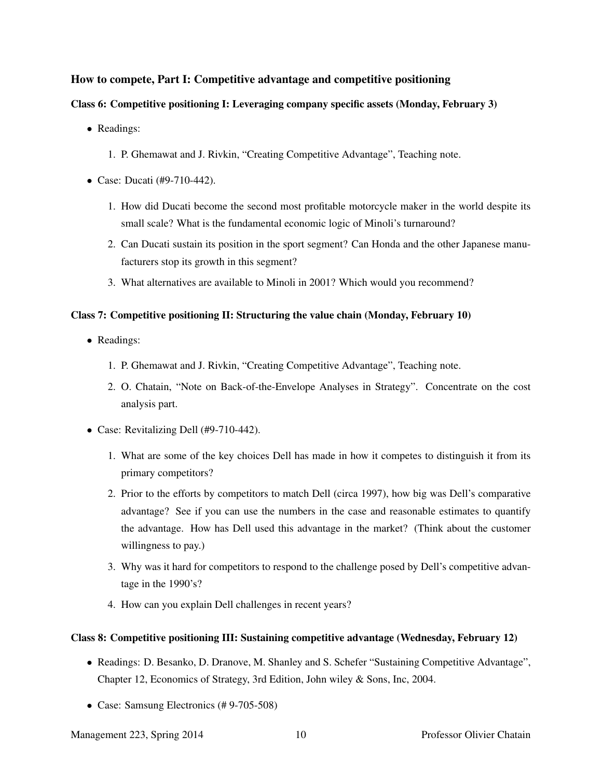# How to compete, Part I: Competitive advantage and competitive positioning

#### Class 6: Competitive positioning I: Leveraging company specific assets (Monday, February 3)

- Readings:
	- 1. P. Ghemawat and J. Rivkin, "Creating Competitive Advantage", Teaching note.
- Case: Ducati (#9-710-442).
	- 1. How did Ducati become the second most profitable motorcycle maker in the world despite its small scale? What is the fundamental economic logic of Minoli's turnaround?
	- 2. Can Ducati sustain its position in the sport segment? Can Honda and the other Japanese manufacturers stop its growth in this segment?
	- 3. What alternatives are available to Minoli in 2001? Which would you recommend?

#### Class 7: Competitive positioning II: Structuring the value chain (Monday, February 10)

- Readings:
	- 1. P. Ghemawat and J. Rivkin, "Creating Competitive Advantage", Teaching note.
	- 2. O. Chatain, "Note on Back-of-the-Envelope Analyses in Strategy". Concentrate on the cost analysis part.
- Case: Revitalizing Dell (#9-710-442).
	- 1. What are some of the key choices Dell has made in how it competes to distinguish it from its primary competitors?
	- 2. Prior to the efforts by competitors to match Dell (circa 1997), how big was Dell's comparative advantage? See if you can use the numbers in the case and reasonable estimates to quantify the advantage. How has Dell used this advantage in the market? (Think about the customer willingness to pay.)
	- 3. Why was it hard for competitors to respond to the challenge posed by Dell's competitive advantage in the 1990's?
	- 4. How can you explain Dell challenges in recent years?

#### Class 8: Competitive positioning III: Sustaining competitive advantage (Wednesday, February 12)

- Readings: D. Besanko, D. Dranove, M. Shanley and S. Schefer "Sustaining Competitive Advantage", Chapter 12, Economics of Strategy, 3rd Edition, John wiley & Sons, Inc, 2004.
- Case: Samsung Electronics (# 9-705-508)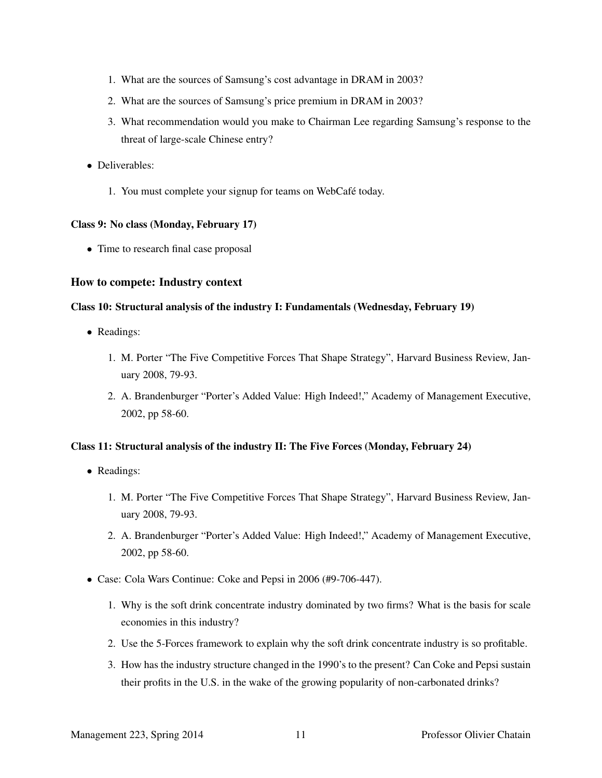- 1. What are the sources of Samsung's cost advantage in DRAM in 2003?
- 2. What are the sources of Samsung's price premium in DRAM in 2003?
- 3. What recommendation would you make to Chairman Lee regarding Samsung's response to the threat of large-scale Chinese entry?
- Deliverables:
	- 1. You must complete your signup for teams on WebCafé today.

#### Class 9: No class (Monday, February 17)

• Time to research final case proposal

#### How to compete: Industry context

#### Class 10: Structural analysis of the industry I: Fundamentals (Wednesday, February 19)

- Readings:
	- 1. M. Porter "The Five Competitive Forces That Shape Strategy", Harvard Business Review, January 2008, 79-93.
	- 2. A. Brandenburger "Porter's Added Value: High Indeed!," Academy of Management Executive, 2002, pp 58-60.

#### Class 11: Structural analysis of the industry II: The Five Forces (Monday, February 24)

- Readings:
	- 1. M. Porter "The Five Competitive Forces That Shape Strategy", Harvard Business Review, January 2008, 79-93.
	- 2. A. Brandenburger "Porter's Added Value: High Indeed!," Academy of Management Executive, 2002, pp 58-60.
- Case: Cola Wars Continue: Coke and Pepsi in 2006 (#9-706-447).
	- 1. Why is the soft drink concentrate industry dominated by two firms? What is the basis for scale economies in this industry?
	- 2. Use the 5-Forces framework to explain why the soft drink concentrate industry is so profitable.
	- 3. How has the industry structure changed in the 1990's to the present? Can Coke and Pepsi sustain their profits in the U.S. in the wake of the growing popularity of non-carbonated drinks?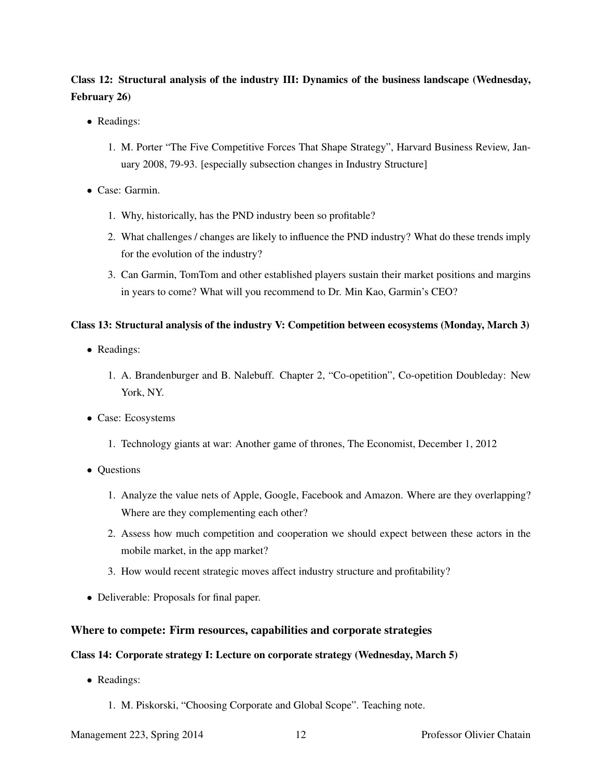# Class 12: Structural analysis of the industry III: Dynamics of the business landscape (Wednesday, February 26)

- Readings:
	- 1. M. Porter "The Five Competitive Forces That Shape Strategy", Harvard Business Review, January 2008, 79-93. [especially subsection changes in Industry Structure]
- Case: Garmin.
	- 1. Why, historically, has the PND industry been so profitable?
	- 2. What challenges / changes are likely to influence the PND industry? What do these trends imply for the evolution of the industry?
	- 3. Can Garmin, TomTom and other established players sustain their market positions and margins in years to come? What will you recommend to Dr. Min Kao, Garmin's CEO?

### Class 13: Structural analysis of the industry V: Competition between ecosystems (Monday, March 3)

- Readings:
	- 1. A. Brandenburger and B. Nalebuff. Chapter 2, "Co-opetition", Co-opetition Doubleday: New York, NY.
- Case: Ecosystems
	- 1. Technology giants at war: Another game of thrones, The Economist, December 1, 2012
- Questions
	- 1. Analyze the value nets of Apple, Google, Facebook and Amazon. Where are they overlapping? Where are they complementing each other?
	- 2. Assess how much competition and cooperation we should expect between these actors in the mobile market, in the app market?
	- 3. How would recent strategic moves affect industry structure and profitability?
- Deliverable: Proposals for final paper.

#### Where to compete: Firm resources, capabilities and corporate strategies

#### Class 14: Corporate strategy I: Lecture on corporate strategy (Wednesday, March 5)

- Readings:
	- 1. M. Piskorski, "Choosing Corporate and Global Scope". Teaching note.

Management 223, Spring 2014 12 Professor Olivier Chatain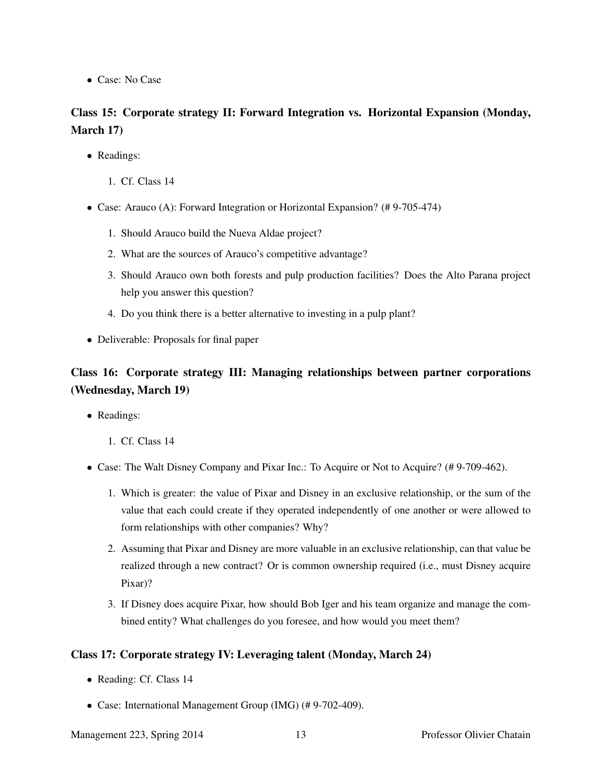• Case: No Case

# Class 15: Corporate strategy II: Forward Integration vs. Horizontal Expansion (Monday, March 17)

- Readings:
	- 1. Cf. Class 14
- Case: Arauco (A): Forward Integration or Horizontal Expansion? (# 9-705-474)
	- 1. Should Arauco build the Nueva Aldae project?
	- 2. What are the sources of Arauco's competitive advantage?
	- 3. Should Arauco own both forests and pulp production facilities? Does the Alto Parana project help you answer this question?
	- 4. Do you think there is a better alternative to investing in a pulp plant?
- Deliverable: Proposals for final paper

# Class 16: Corporate strategy III: Managing relationships between partner corporations (Wednesday, March 19)

- Readings:
	- 1. Cf. Class 14
- Case: The Walt Disney Company and Pixar Inc.: To Acquire or Not to Acquire? (# 9-709-462).
	- 1. Which is greater: the value of Pixar and Disney in an exclusive relationship, or the sum of the value that each could create if they operated independently of one another or were allowed to form relationships with other companies? Why?
	- 2. Assuming that Pixar and Disney are more valuable in an exclusive relationship, can that value be realized through a new contract? Or is common ownership required (i.e., must Disney acquire Pixar)?
	- 3. If Disney does acquire Pixar, how should Bob Iger and his team organize and manage the combined entity? What challenges do you foresee, and how would you meet them?

# Class 17: Corporate strategy IV: Leveraging talent (Monday, March 24)

- Reading: Cf. Class 14
- Case: International Management Group (IMG) (# 9-702-409).

Management 223, Spring 2014 13 Professor Olivier Chatain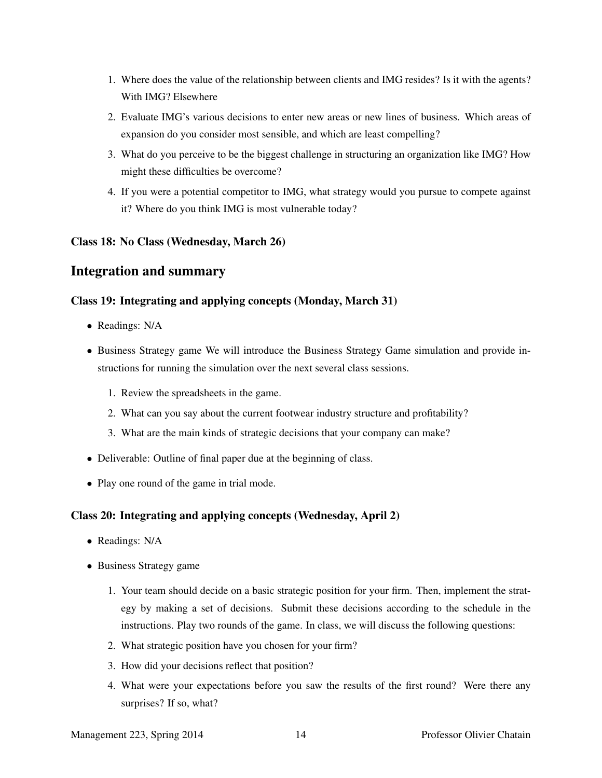- 1. Where does the value of the relationship between clients and IMG resides? Is it with the agents? With IMG? Elsewhere
- 2. Evaluate IMG's various decisions to enter new areas or new lines of business. Which areas of expansion do you consider most sensible, and which are least compelling?
- 3. What do you perceive to be the biggest challenge in structuring an organization like IMG? How might these difficulties be overcome?
- 4. If you were a potential competitor to IMG, what strategy would you pursue to compete against it? Where do you think IMG is most vulnerable today?

### Class 18: No Class (Wednesday, March 26)

# Integration and summary

### Class 19: Integrating and applying concepts (Monday, March 31)

- Readings: N/A
- Business Strategy game We will introduce the Business Strategy Game simulation and provide instructions for running the simulation over the next several class sessions.
	- 1. Review the spreadsheets in the game.
	- 2. What can you say about the current footwear industry structure and profitability?
	- 3. What are the main kinds of strategic decisions that your company can make?
- Deliverable: Outline of final paper due at the beginning of class.
- Play one round of the game in trial mode.

# Class 20: Integrating and applying concepts (Wednesday, April 2)

- Readings: N/A
- Business Strategy game
	- 1. Your team should decide on a basic strategic position for your firm. Then, implement the strategy by making a set of decisions. Submit these decisions according to the schedule in the instructions. Play two rounds of the game. In class, we will discuss the following questions:
	- 2. What strategic position have you chosen for your firm?
	- 3. How did your decisions reflect that position?
	- 4. What were your expectations before you saw the results of the first round? Were there any surprises? If so, what?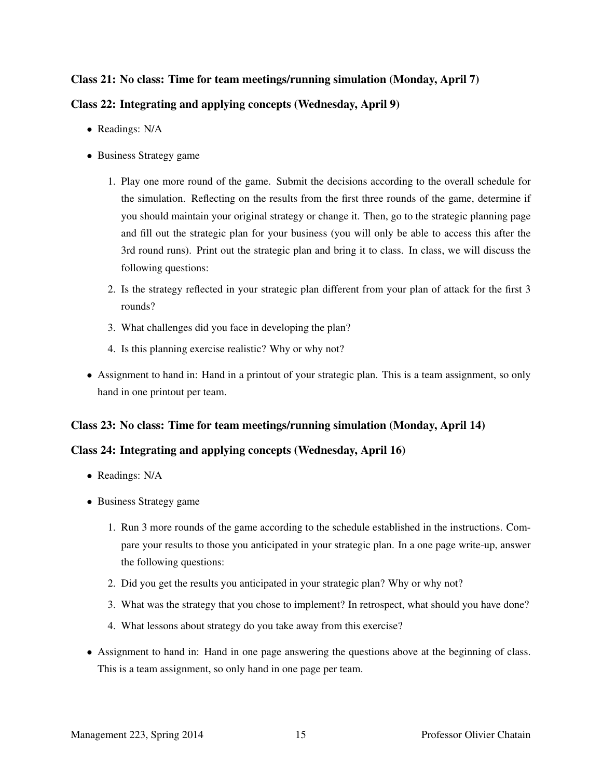# Class 21: No class: Time for team meetings/running simulation (Monday, April 7)

# Class 22: Integrating and applying concepts (Wednesday, April 9)

- Readings: N/A
- Business Strategy game
	- 1. Play one more round of the game. Submit the decisions according to the overall schedule for the simulation. Reflecting on the results from the first three rounds of the game, determine if you should maintain your original strategy or change it. Then, go to the strategic planning page and fill out the strategic plan for your business (you will only be able to access this after the 3rd round runs). Print out the strategic plan and bring it to class. In class, we will discuss the following questions:
	- 2. Is the strategy reflected in your strategic plan different from your plan of attack for the first 3 rounds?
	- 3. What challenges did you face in developing the plan?
	- 4. Is this planning exercise realistic? Why or why not?
- Assignment to hand in: Hand in a printout of your strategic plan. This is a team assignment, so only hand in one printout per team.

# Class 23: No class: Time for team meetings/running simulation (Monday, April 14)

# Class 24: Integrating and applying concepts (Wednesday, April 16)

- Readings: N/A
- Business Strategy game
	- 1. Run 3 more rounds of the game according to the schedule established in the instructions. Compare your results to those you anticipated in your strategic plan. In a one page write-up, answer the following questions:
	- 2. Did you get the results you anticipated in your strategic plan? Why or why not?
	- 3. What was the strategy that you chose to implement? In retrospect, what should you have done?
	- 4. What lessons about strategy do you take away from this exercise?
- Assignment to hand in: Hand in one page answering the questions above at the beginning of class. This is a team assignment, so only hand in one page per team.